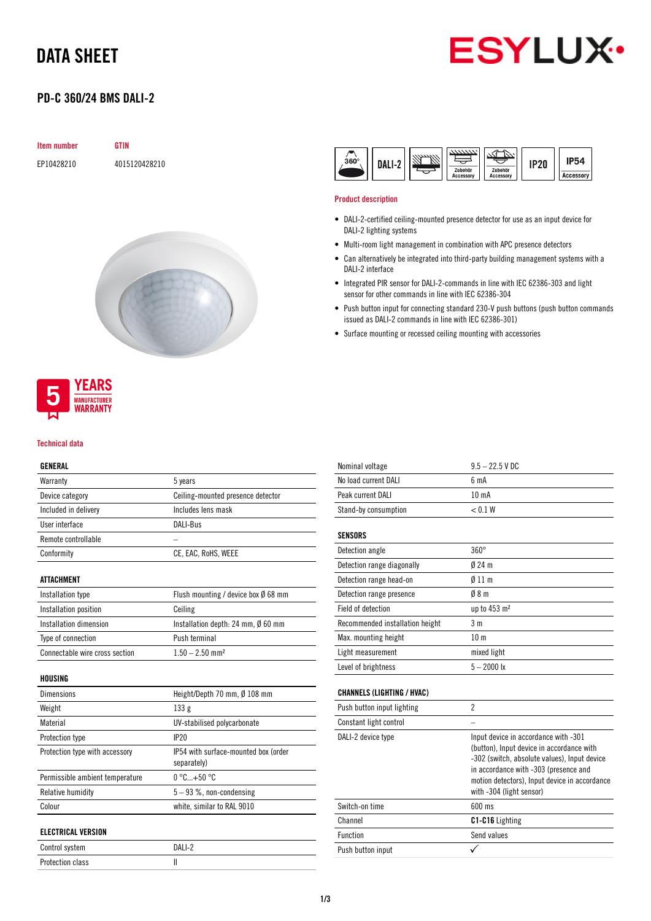# DATA SHEET



# PD-C 360/24 BMS DALI-2

| <b>Item number</b> | <b>GTIN</b>   |
|--------------------|---------------|
| EP10428210         | 4015120428210 |





### Technical data

## GENERAL

| Warranty             | 5 years                           |
|----------------------|-----------------------------------|
| Device category      | Ceiling-mounted presence detector |
| Included in delivery | Includes lens mask                |
| User interface       | DALI-Bus                          |
| Remote controllable  |                                   |
| Conformity           | CE, EAC, RoHS, WEEE               |
|                      |                                   |

## ATTACHMENT

| Installation type              | Flush mounting / device box $\emptyset$ 68 mm |
|--------------------------------|-----------------------------------------------|
| Installation position          | Ceiling                                       |
| Installation dimension         | Installation depth: 24 mm, Ø 60 mm            |
| Type of connection             | Push terminal                                 |
| Connectable wire cross section | $1.50 - 2.50$ mm <sup>2</sup>                 |

## HOUSING

| <b>Dimensions</b>               | Height/Depth 70 mm. Ø 108 mm                        |
|---------------------------------|-----------------------------------------------------|
| Weight                          | 133g                                                |
| Material                        | UV-stabilised polycarbonate                         |
| Protection type                 | IP20                                                |
| Protection type with accessory  | IP54 with surface-mounted box (order<br>separately) |
| Permissible ambient temperature | $0^{\circ}$ C+50 $^{\circ}$ C                       |
| Relative humidity               | $5 - 93$ %, non-condensing                          |
| Colour                          | white, similar to RAL 9010                          |
| <b>ELECTRICAL VERSION</b>       |                                                     |
| Control system                  | DAI 1-2                                             |

Protection class II

| $360^\circ$<br>١AI<br>ь. | Zubehör<br>Zubehör<br>Accessory<br><b>Accessory</b> | IP20 | <b>IP54</b><br><b>Accessory</b> |
|--------------------------|-----------------------------------------------------|------|---------------------------------|
|--------------------------|-----------------------------------------------------|------|---------------------------------|

### Product description

- DALI-2-certified ceiling-mounted presence detector for use as an input device for DALI-2 lighting systems
- Multi-room light management in combination with APC presence detectors
- Can alternatively be integrated into third-party building management systems with a DALI-2 interface
- Integrated PIR sensor for DALI-2-commands in line with IEC 62386-303 and light sensor for other commands in line with IEC 62386-304
- Push button input for connecting standard 230-V push buttons (push button commands issued as DALI-2 commands in line with IEC 62386-301)
- Surface mounting or recessed ceiling mounting with accessories

| Nominal voltage                   | $9.5 - 22.5$ V DC                                                                                                                                                                                                                                       |
|-----------------------------------|---------------------------------------------------------------------------------------------------------------------------------------------------------------------------------------------------------------------------------------------------------|
| No load current DALI              | 6 <sub>m</sub> A                                                                                                                                                                                                                                        |
| Peak current DALI                 | 10 <sub>m</sub> A                                                                                                                                                                                                                                       |
| Stand-by consumption              | < 0.1 W                                                                                                                                                                                                                                                 |
| <b>SENSORS</b>                    |                                                                                                                                                                                                                                                         |
| Detection angle                   | $360^\circ$                                                                                                                                                                                                                                             |
| Detection range diagonally        | $024 \text{ m}$                                                                                                                                                                                                                                         |
| Detection range head-on           | $\emptyset$ 11 m                                                                                                                                                                                                                                        |
| Detection range presence          | 08 <sub>m</sub>                                                                                                                                                                                                                                         |
| Field of detection                | up to 453 m <sup>2</sup>                                                                                                                                                                                                                                |
| Recommended installation height   | 3 <sub>m</sub>                                                                                                                                                                                                                                          |
| Max. mounting height              | 10 <sub>m</sub>                                                                                                                                                                                                                                         |
| Light measurement                 | mixed light                                                                                                                                                                                                                                             |
| Level of brightness               | $5 - 2000$ lx                                                                                                                                                                                                                                           |
| <b>CHANNELS (LIGHTING / HVAC)</b> |                                                                                                                                                                                                                                                         |
| Push button input lighting        | $\overline{c}$                                                                                                                                                                                                                                          |
| Constant light control            |                                                                                                                                                                                                                                                         |
| DALI-2 device type                | Input device in accordance with -301<br>(button), Input device in accordance with<br>-302 (switch, absolute values), Input device<br>in accordance with -303 (presence and<br>motion detectors), Input device in accordance<br>with -304 (light sensor) |
| Switch-on time                    | 600 ms                                                                                                                                                                                                                                                  |
| Channel                           | C1-C16 Lighting                                                                                                                                                                                                                                         |

Function Send values Push button input  $\checkmark$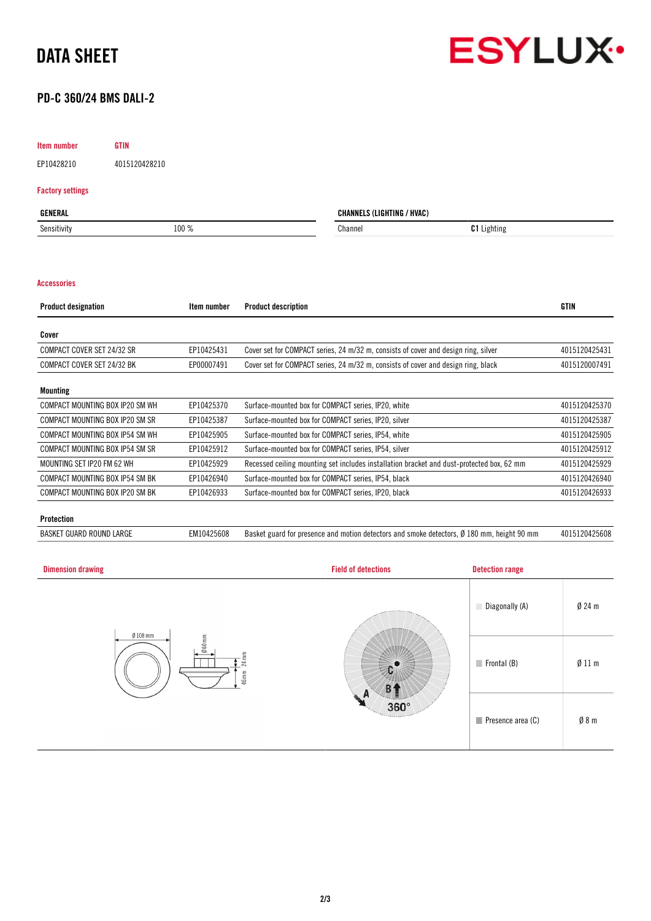



## PD-C 360/24 BMS DALI-2

## Item number GTIN

EP10428210 4015120428210

## Factory settings

| GENERAL     |       | / HVAC)<br><b>ICUTINO</b><br><b>UNANNEL</b><br>. I G N |                    |
|-------------|-------|--------------------------------------------------------|--------------------|
| Sensitivity | 100 % | Channel                                                | <b>C1</b> Lighting |
|             |       |                                                        |                    |

## Accessories

| <b>Product designation</b>      | Item number | <b>Product description</b>                                                                | <b>GTIN</b>   |
|---------------------------------|-------------|-------------------------------------------------------------------------------------------|---------------|
| Cover                           |             |                                                                                           |               |
| COMPACT COVER SET 24/32 SR      | EP10425431  | Cover set for COMPACT series, 24 m/32 m, consists of cover and design ring, silver        | 4015120425431 |
| COMPACT COVER SET 24/32 BK      | EP00007491  | Cover set for COMPACT series, 24 m/32 m, consists of cover and design ring, black         | 4015120007491 |
| <b>Mounting</b>                 |             |                                                                                           |               |
| COMPACT MOUNTING BOX IP20 SM WH | EP10425370  | Surface-mounted box for COMPACT series, IP20, white                                       | 4015120425370 |
| COMPACT MOUNTING BOX IP20 SM SR | EP10425387  | Surface-mounted box for COMPACT series, IP20, silver                                      | 4015120425387 |
| COMPACT MOUNTING BOX IP54 SM WH | EP10425905  | Surface-mounted box for COMPACT series, IP54, white                                       | 4015120425905 |
| COMPACT MOUNTING BOX IP54 SM SR | EP10425912  | Surface-mounted box for COMPACT series, IP54, silver                                      | 4015120425912 |
| MOUNTING SET IP20 FM 62 WH      | EP10425929  | Recessed ceiling mounting set includes installation bracket and dust-protected box, 62 mm | 4015120425929 |
| COMPACT MOUNTING BOX IP54 SM BK | EP10426940  | Surface-mounted box for COMPACT series, IP54, black                                       | 4015120426940 |
| COMPACT MOUNTING BOX IP20 SM BK | EP10426933  | Surface-mounted box for COMPACT series, IP20, black                                       | 4015120426933 |

## Protection

BASKET GUARD ROUND LARGE EM10425608 Basket guard for presence and motion detectors and smoke detectors, Ø 180 mm, height 90 mm 4015120425608

| <b>Dimension drawing</b>                             | <b>Field of detections</b>                               | <b>Detection range</b>           |                  |
|------------------------------------------------------|----------------------------------------------------------|----------------------------------|------------------|
| $Ø108$ mm<br>$060$ mm<br>$\mathbb{R}$<br>24<br>46 mm | <b>CARD AT ANY</b><br>D<br>涵<br>$360^\circ$<br>Territors | Diagonally (A)                   | $Ø$ 24 m         |
|                                                      |                                                          | $\blacksquare$ Frontal (B)       | $\emptyset$ 11 m |
|                                                      |                                                          | $\blacksquare$ Presence area (C) | $\emptyset$ 8 m  |